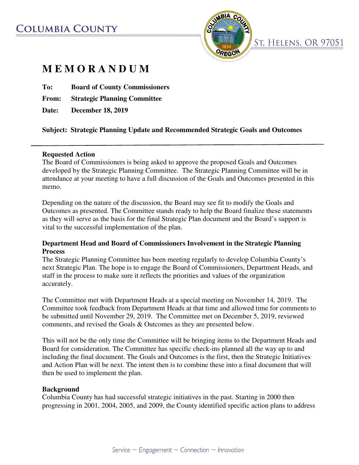# **COLUMBIA COUNTY**



# **M E M O R A N D U M**

**To: Board of County Commissioners** 

**From: Strategic Planning Committee** 

**Date: December 18, 2019** 

### **Subject: Strategic Planning Update and Recommended Strategic Goals and Outcomes**

#### **Requested Action**

The Board of Commissioners is being asked to approve the proposed Goals and Outcomes developed by the Strategic Planning Committee. The Strategic Planning Committee will be in attendance at your meeting to have a full discussion of the Goals and Outcomes presented in this memo.

Depending on the nature of the discussion, the Board may see fit to modify the Goals and Outcomes as presented. The Committee stands ready to help the Board finalize these statements as they will serve as the basis for the final Strategic Plan document and the Board's support is vital to the successful implementation of the plan.

#### **Department Head and Board of Commissioners Involvement in the Strategic Planning Process**

The Strategic Planning Committee has been meeting regularly to develop Columbia County's next Strategic Plan. The hope is to engage the Board of Commissioners, Department Heads, and staff in the process to make sure it reflects the priorities and values of the organization accurately.

The Committee met with Department Heads at a special meeting on November 14, 2019. The Committee took feedback from Department Heads at that time and allowed time for comments to be submitted until November 29, 2019. The Committee met on December 5, 2019, reviewed comments, and revised the Goals & Outcomes as they are presented below.

This will not be the only time the Committee will be bringing items to the Department Heads and Board for consideration. The Committee has specific check-ins planned all the way up to and including the final document. The Goals and Outcomes is the first, then the Strategic Initiatives and Action Plan will be next. The intent then is to combine these into a final document that will then be used to implement the plan.

#### **Background**

Columbia County has had successful strategic initiatives in the past. Starting in 2000 then progressing in 2001, 2004, 2005, and 2009, the County identified specific action plans to address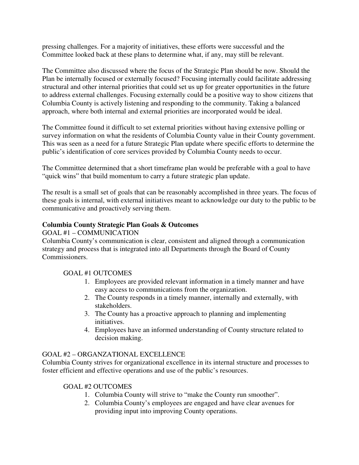pressing challenges. For a majority of initiatives, these efforts were successful and the Committee looked back at these plans to determine what, if any, may still be relevant.

The Committee also discussed where the focus of the Strategic Plan should be now. Should the Plan be internally focused or externally focused? Focusing internally could facilitate addressing structural and other internal priorities that could set us up for greater opportunities in the future to address external challenges. Focusing externally could be a positive way to show citizens that Columbia County is actively listening and responding to the community. Taking a balanced approach, where both internal and external priorities are incorporated would be ideal.

The Committee found it difficult to set external priorities without having extensive polling or survey information on what the residents of Columbia County value in their County government. This was seen as a need for a future Strategic Plan update where specific efforts to determine the public's identification of core services provided by Columbia County needs to occur.

The Committee determined that a short timeframe plan would be preferable with a goal to have "quick wins" that build momentum to carry a future strategic plan update.

The result is a small set of goals that can be reasonably accomplished in three years. The focus of these goals is internal, with external initiatives meant to acknowledge our duty to the public to be communicative and proactively serving them.

### **Columbia County Strategic Plan Goals & Outcomes**

#### GOAL #1 – COMMUNICATION

Columbia County's communication is clear, consistent and aligned through a communication strategy and process that is integrated into all Departments through the Board of County Commissioners.

### GOAL #1 OUTCOMES

- 1. Employees are provided relevant information in a timely manner and have easy access to communications from the organization.
- 2. The County responds in a timely manner, internally and externally, with stakeholders.
- 3. The County has a proactive approach to planning and implementing initiatives.
- 4. Employees have an informed understanding of County structure related to decision making.

### GOAL #2 – ORGANZATIONAL EXCELLENCE

Columbia County strives for organizational excellence in its internal structure and processes to foster efficient and effective operations and use of the public's resources.

### GOAL #2 OUTCOMES

- 1. Columbia County will strive to "make the County run smoother".
- 2. Columbia County's employees are engaged and have clear avenues for providing input into improving County operations.